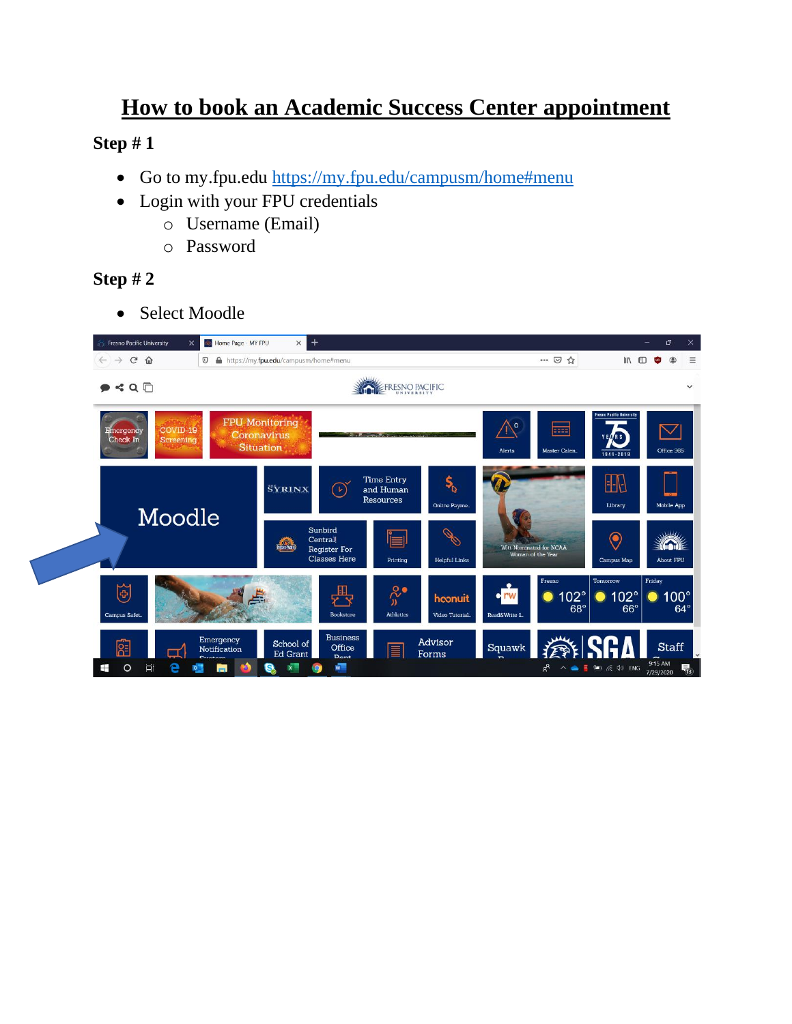# **How to book an Academic Success Center appointment**

## **Step # 1**

- Go to my.fpu.edu<https://my.fpu.edu/campusm/home#menu>
- Login with your FPU credentials
	- o Username (Email)
	- o Password

## **Step # 2**

• Select Moodle

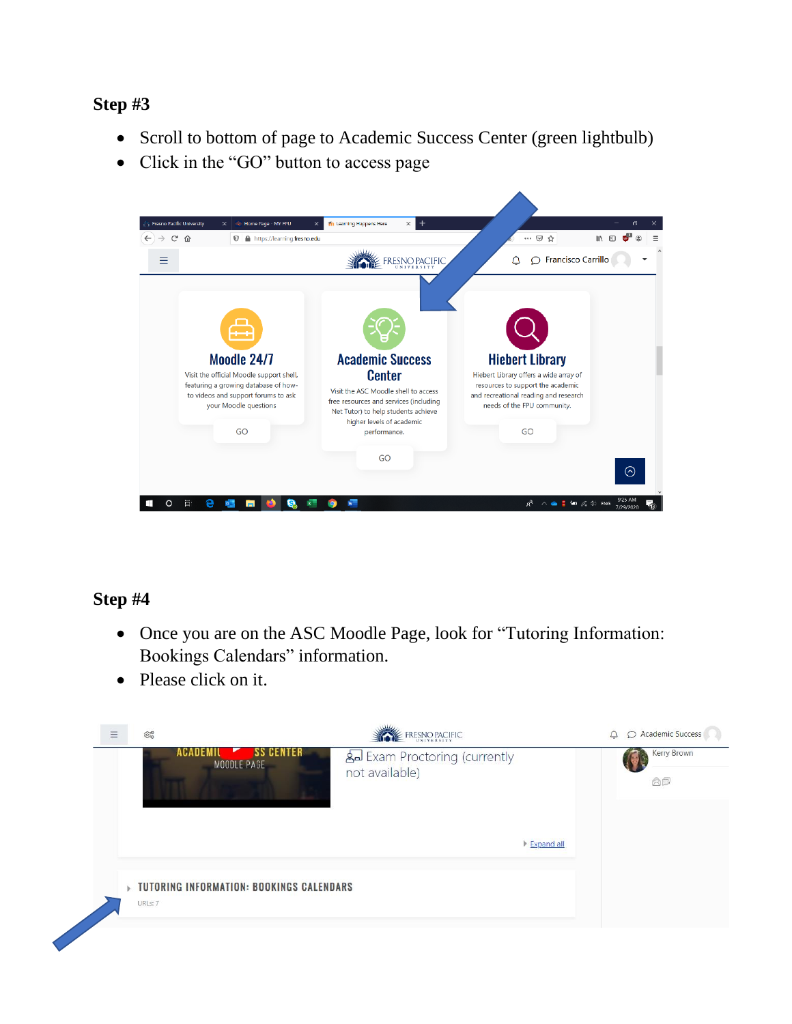### **Step #3**

- Scroll to bottom of page to Academic Success Center (green lightbulb)
- Click in the "GO" button to access page



## **Step #4**

- Once you are on the ASC Moodle Page, look for "Tutoring Information: Bookings Calendars" information.
- Please click on it.

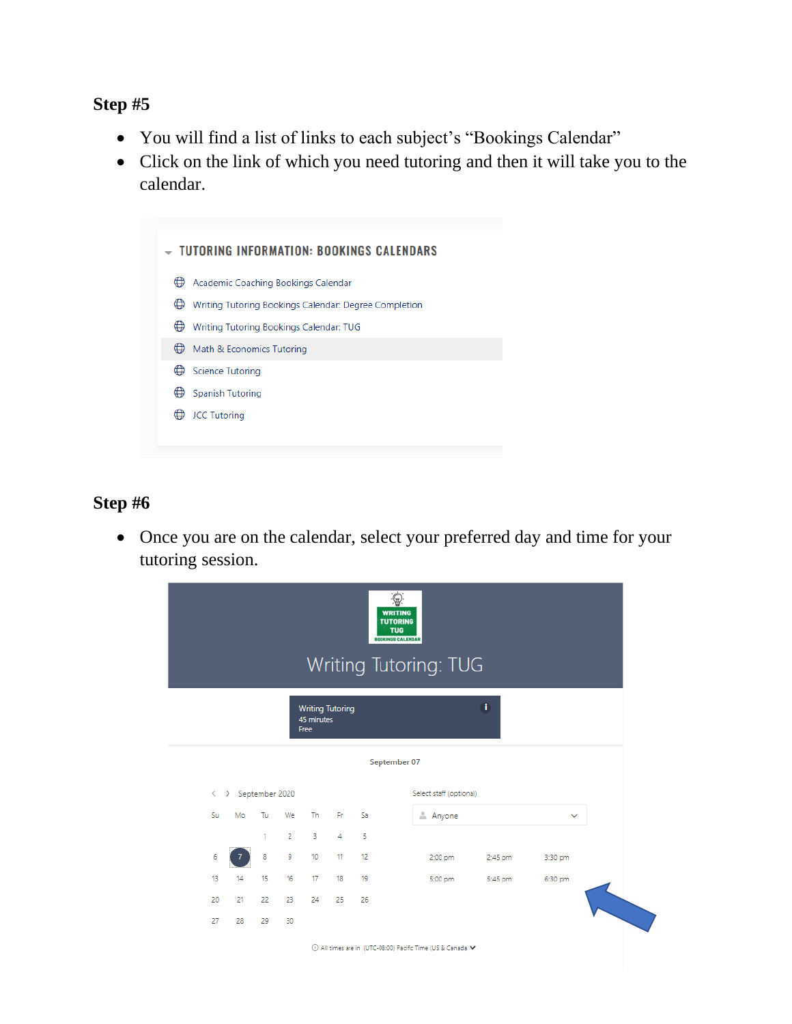#### **Step #5**

- You will find a list of links to each subject's "Bookings Calendar"
- Click on the link of which you need tutoring and then it will take you to the calendar.



## **Step #6**

• Once you are on the calendar, select your preferred day and time for your tutoring session.

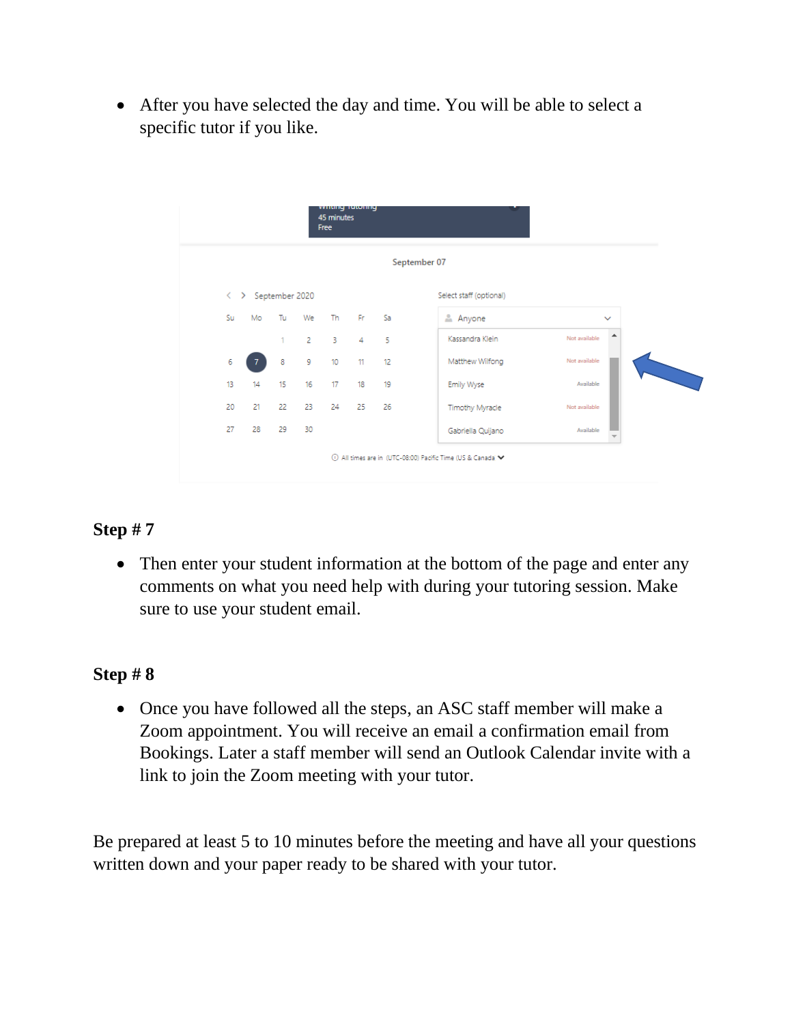• After you have selected the day and time. You will be able to select a specific tutor if you like.



## **Step # 7**

• Then enter your student information at the bottom of the page and enter any comments on what you need help with during your tutoring session. Make sure to use your student email.

## **Step # 8**

• Once you have followed all the steps, an ASC staff member will make a Zoom appointment. You will receive an email a confirmation email from Bookings. Later a staff member will send an Outlook Calendar invite with a link to join the Zoom meeting with your tutor.

Be prepared at least 5 to 10 minutes before the meeting and have all your questions written down and your paper ready to be shared with your tutor.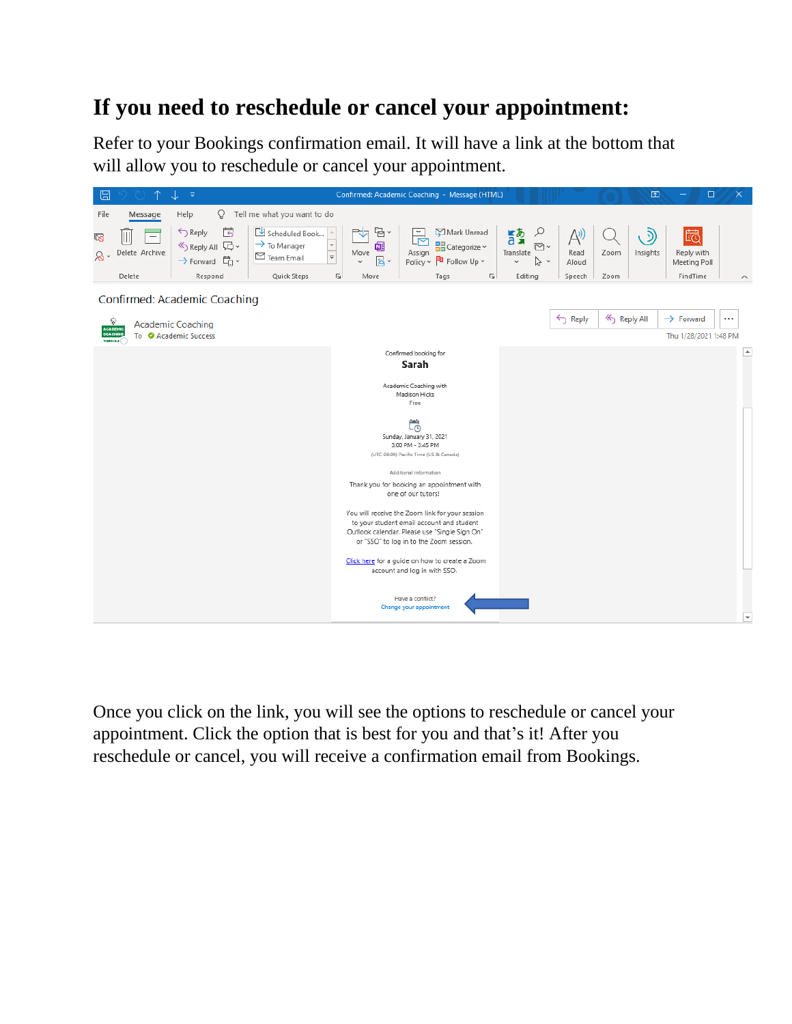# **If you need to reschedule or cancel your appointment:**

Refer to your Bookings confirmation email. It will have a link at the bottom that will allow you to reschedule or cancel your appointment.



Once you click on the link, you will see the options to reschedule or cancel your appointment. Click the option that is best for you and that's it! After you reschedule or cancel, you will receive a confirmation email from Bookings.